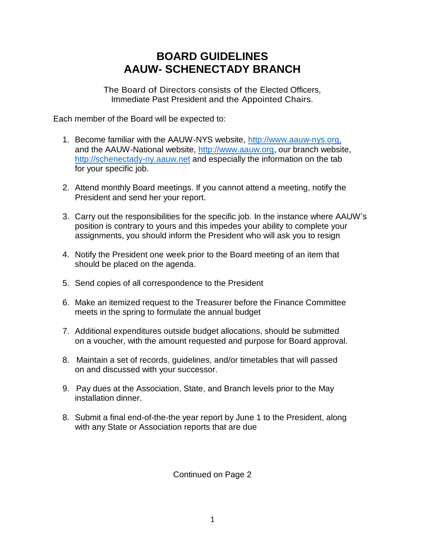## **BOARD GUIDELINES AAUW- SCHENECTADY BRANCH**

**The Board of Directors consists of the Elected Officers, Immediate Past President and the Appointed Chairs.**

**Each member of the Board will be expected to:** 

- **1. Become familiar with the AAUW-NYS website, [http://www.aauw-nys.org,](http://www.aauw-nys.org/) and the AAUW-National website, [http://www.aauw.org,](http://www.aauw.org/) our branch website, [http://schenectady-ny.aauw.net](http://schenectady-ny.aauw.net/) and especially the information on the tab for your specific job.**
- **2. Attend monthly Board meetings. If you cannot attend a meeting, notify the President and send her your report.**
- **3. Carry out the responsibilities for the specific job. In the instance where AAUW's position is contrary to yours and this impedes your ability to complete your assignments, you should inform the President who will ask you to resign**
- **4. Notify the President one week prior to the Board meeting of an item that should be placed on the agenda.**
- **5. Send copies of all correspondence to the President**
- **6. Make an itemized request to the Treasurer before the Finance Committee meets in the spring to formulate the annual budget**
- **7. Additional expenditures outside budget allocations, should be submitted on a voucher, with the amount requested and purpose for Board approval.**
- **8. Maintain a set of records, guidelines, and/or timetables that will passed on and discussed with your successor.**
- **9. Pay dues at the Association, State, and Branch levels prior to the May installation dinner.**
- **8. Submit a final end-of-the-the year report by June 1 to the President, along with any State or Association reports that are due**

**Continued on Page 2**